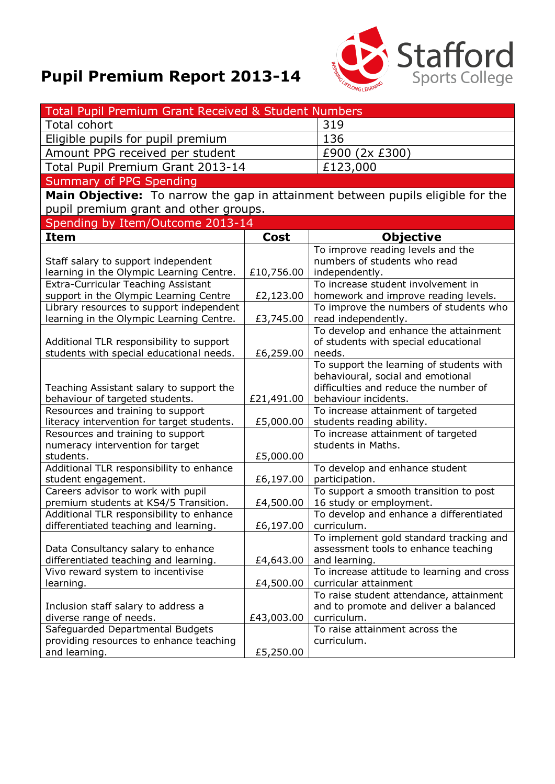## **Pupil Premium Report 2013-14**



| Total Pupil Premium Grant Received & Student Numbers                            |             |                                                                               |
|---------------------------------------------------------------------------------|-------------|-------------------------------------------------------------------------------|
| Total cohort                                                                    |             | 319                                                                           |
| Eligible pupils for pupil premium                                               |             | 136                                                                           |
| Amount PPG received per student                                                 |             | £900 (2x £300)                                                                |
| Total Pupil Premium Grant 2013-14                                               |             | £123,000                                                                      |
| Summary of PPG Spending                                                         |             |                                                                               |
| Main Objective: To narrow the gap in attainment between pupils eligible for the |             |                                                                               |
| pupil premium grant and other groups.                                           |             |                                                                               |
| Spending by Item/Outcome 2013-14                                                |             |                                                                               |
| <b>Item</b>                                                                     | <b>Cost</b> | <b>Objective</b>                                                              |
|                                                                                 |             | To improve reading levels and the                                             |
| Staff salary to support independent                                             |             | numbers of students who read                                                  |
| learning in the Olympic Learning Centre.                                        | £10,756.00  | independently.                                                                |
| <b>Extra-Curricular Teaching Assistant</b>                                      |             | To increase student involvement in                                            |
| support in the Olympic Learning Centre                                          | £2,123.00   | homework and improve reading levels.                                          |
| Library resources to support independent                                        |             | To improve the numbers of students who                                        |
| learning in the Olympic Learning Centre.                                        | £3,745.00   | read independently.                                                           |
|                                                                                 |             | To develop and enhance the attainment                                         |
| Additional TLR responsibility to support                                        |             | of students with special educational                                          |
| students with special educational needs.                                        | £6,259.00   | needs.                                                                        |
|                                                                                 |             | To support the learning of students with<br>behavioural, social and emotional |
| Teaching Assistant salary to support the                                        |             | difficulties and reduce the number of                                         |
| behaviour of targeted students.                                                 | £21,491.00  | behaviour incidents.                                                          |
| Resources and training to support                                               |             | To increase attainment of targeted                                            |
| literacy intervention for target students.                                      | £5,000.00   | students reading ability.                                                     |
| Resources and training to support                                               |             | To increase attainment of targeted                                            |
| numeracy intervention for target                                                |             | students in Maths.                                                            |
| students.                                                                       | £5,000.00   |                                                                               |
| Additional TLR responsibility to enhance                                        |             | To develop and enhance student                                                |
| student engagement.                                                             | £6,197.00   | participation.                                                                |
| Careers advisor to work with pupil<br>premium students at KS4/5 Transition.     | £4,500.00   | To support a smooth transition to post<br>16 study or employment.             |
| Additional TLR responsibility to enhance                                        |             | To develop and enhance a differentiated                                       |
| differentiated teaching and learning.                                           | £6,197.00   | curriculum.                                                                   |
|                                                                                 |             | To implement gold standard tracking and                                       |
| Data Consultancy salary to enhance                                              |             | assessment tools to enhance teaching                                          |
| differentiated teaching and learning.                                           | £4,643.00   | and learning.                                                                 |
| Vivo reward system to incentivise                                               |             | To increase attitude to learning and cross                                    |
| learning.                                                                       | £4,500.00   | curricular attainment                                                         |
|                                                                                 |             | To raise student attendance, attainment                                       |
| Inclusion staff salary to address a<br>diverse range of needs.                  |             | and to promote and deliver a balanced<br>curriculum.                          |
| Safeguarded Departmental Budgets                                                | £43,003.00  | To raise attainment across the                                                |
| providing resources to enhance teaching                                         |             | curriculum.                                                                   |
| and learning.                                                                   | £5,250.00   |                                                                               |